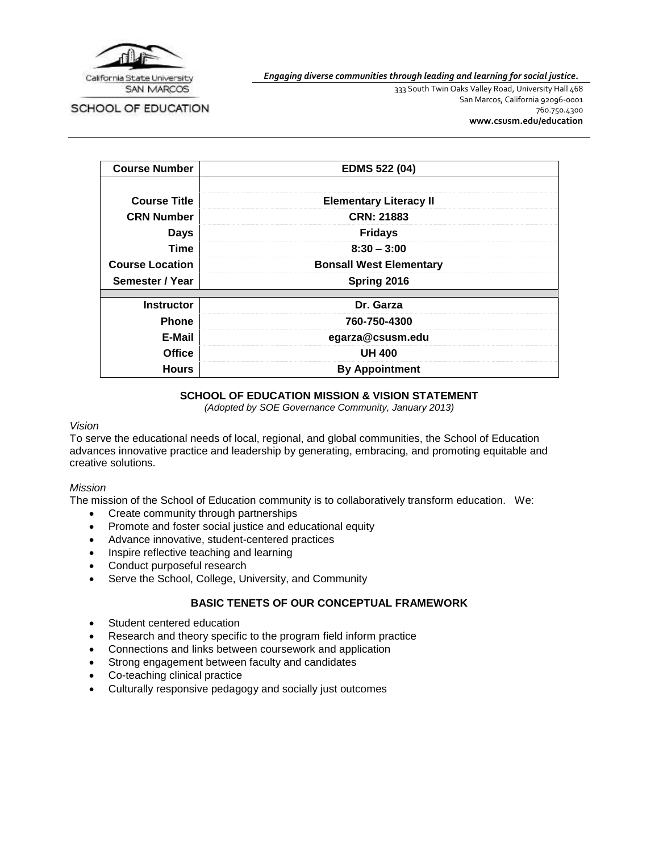

SCHOOL OF EDUCATION

*Engaging diverse communities through leading and learning for social justice.*

333 South Twin Oaks Valley Road, University Hall 468 San Marcos, California 92096-0001 760.750.4300 **[www.csusm.edu/education](http://www.csusm.edu/education)**

| <b>Course Number</b>   | <b>EDMS 522 (04)</b>           |  |
|------------------------|--------------------------------|--|
|                        |                                |  |
| <b>Course Title</b>    | <b>Elementary Literacy II</b>  |  |
| <b>CRN Number</b>      | <b>CRN: 21883</b>              |  |
| <b>Days</b>            | <b>Fridays</b>                 |  |
| <b>Time</b>            | $8:30 - 3:00$                  |  |
| <b>Course Location</b> | <b>Bonsall West Elementary</b> |  |
| Semester / Year        | Spring 2016                    |  |
|                        |                                |  |
| <b>Instructor</b>      | Dr. Garza                      |  |
| <b>Phone</b>           | 760-750-4300                   |  |
| E-Mail                 | egarza@csusm.edu               |  |
| <b>Office</b>          | <b>UH 400</b>                  |  |
| <b>Hours</b>           | <b>By Appointment</b>          |  |

### **SCHOOL OF EDUCATION MISSION & VISION STATEMENT**

*(Adopted by SOE Governance Community, January 2013)*

#### *Vision*

To serve the educational needs of local, regional, and global communities, the School of Education advances innovative practice and leadership by generating, embracing, and promoting equitable and creative solutions.

# *Mission*

The mission of the School of Education community is to collaboratively transform education. We:

- Create community through partnerships
- Promote and foster social justice and educational equity
- Advance innovative, student-centered practices
- Inspire reflective teaching and learning
- Conduct purposeful research
- Serve the School, College, University, and Community

# **BASIC TENETS OF OUR CONCEPTUAL FRAMEWORK**

- Student centered education
- Research and theory specific to the program field inform practice
- Connections and links between coursework and application
- Strong engagement between faculty and candidates
- Co-teaching clinical practice
- Culturally responsive pedagogy and socially just outcomes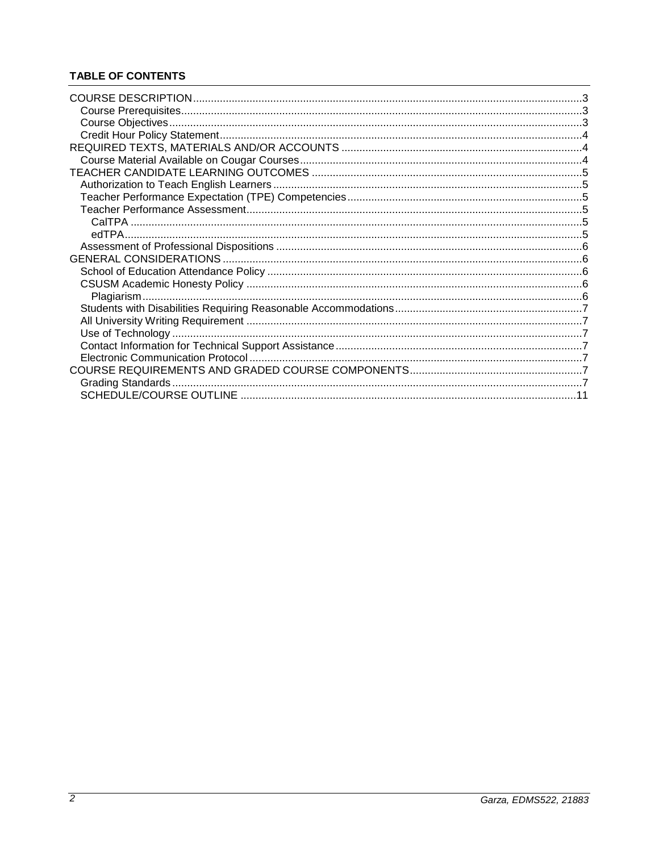# **TABLE OF CONTENTS**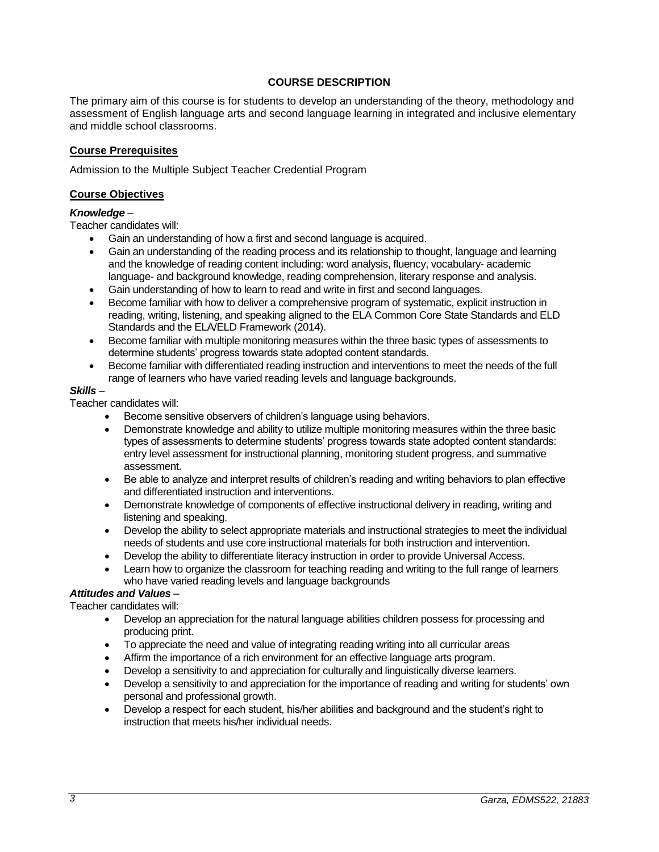# **COURSE DESCRIPTION**

<span id="page-2-0"></span>The primary aim of this course is for students to develop an understanding of the theory, methodology and assessment of English language arts and second language learning in integrated and inclusive elementary and middle school classrooms.

#### <span id="page-2-1"></span>**Course Prerequisites**

Admission to the Multiple Subject Teacher Credential Program

#### <span id="page-2-2"></span>**Course Objectives**

#### *Knowledge* –

Teacher candidates will:

- Gain an understanding of how a first and second language is acquired.
- Gain an understanding of the reading process and its relationship to thought, language and learning and the knowledge of reading content including: word analysis, fluency, vocabulary- academic language- and background knowledge, reading comprehension, literary response and analysis.
- Gain understanding of how to learn to read and write in first and second languages.
- Become familiar with how to deliver a comprehensive program of systematic, explicit instruction in reading, writing, listening, and speaking aligned to the ELA Common Core State Standards and ELD Standards and the ELA/ELD Framework (2014).
- Become familiar with multiple monitoring measures within the three basic types of assessments to determine students' progress towards state adopted content standards.
- Become familiar with differentiated reading instruction and interventions to meet the needs of the full range of learners who have varied reading levels and language backgrounds.

### *Skills* –

Teacher candidates will:

- Become sensitive observers of children's language using behaviors.
- Demonstrate knowledge and ability to utilize multiple monitoring measures within the three basic types of assessments to determine students' progress towards state adopted content standards: entry level assessment for instructional planning, monitoring student progress, and summative assessment.
- Be able to analyze and interpret results of children's reading and writing behaviors to plan effective and differentiated instruction and interventions.
- Demonstrate knowledge of components of effective instructional delivery in reading, writing and listening and speaking.
- Develop the ability to select appropriate materials and instructional strategies to meet the individual needs of students and use core instructional materials for both instruction and intervention.
- Develop the ability to differentiate literacy instruction in order to provide Universal Access.
- Learn how to organize the classroom for teaching reading and writing to the full range of learners who have varied reading levels and language backgrounds

# *Attitudes and Values* –

Teacher candidates will:

- Develop an appreciation for the natural language abilities children possess for processing and producing print.
- To appreciate the need and value of integrating reading writing into all curricular areas
- Affirm the importance of a rich environment for an effective language arts program.
- Develop a sensitivity to and appreciation for culturally and linguistically diverse learners.
- Develop a sensitivity to and appreciation for the importance of reading and writing for students' own personal and professional growth.
- Develop a respect for each student, his/her abilities and background and the student's right to instruction that meets his/her individual needs.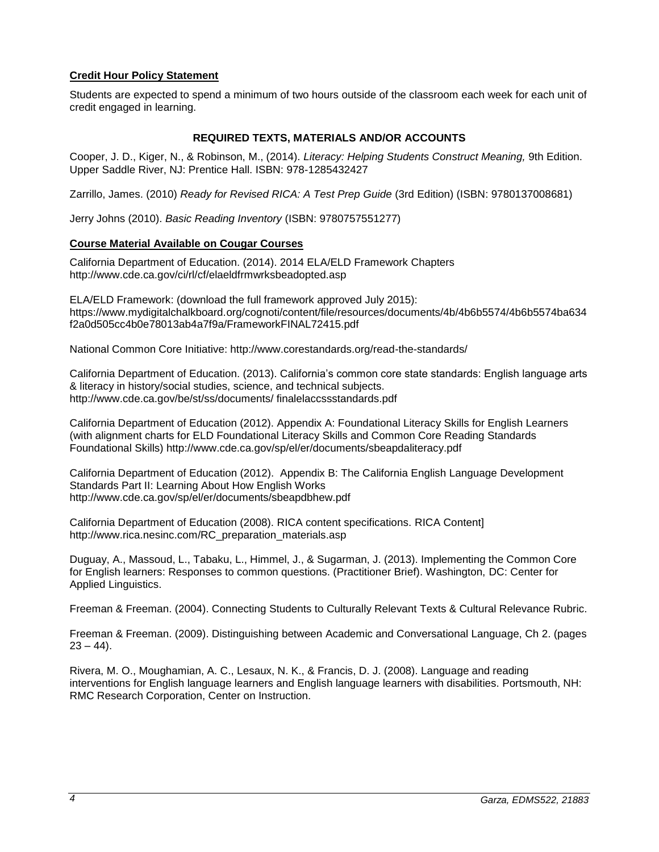# <span id="page-3-0"></span>**Credit Hour Policy Statement**

Students are expected to spend a minimum of two hours outside of the classroom each week for each unit of credit engaged in learning.

### **REQUIRED TEXTS, MATERIALS AND/OR ACCOUNTS**

<span id="page-3-1"></span>Cooper, J. D., Kiger, N., & Robinson, M., (2014). *Literacy: Helping Students Construct Meaning,* 9th Edition. Upper Saddle River, NJ: Prentice Hall. ISBN: 978-1285432427

Zarrillo, James. (2010) *Ready for Revised RICA: A Test Prep Guide* (3rd Edition) (ISBN: 9780137008681)

Jerry Johns (2010). *Basic Reading Inventory* (ISBN: 9780757551277)

### <span id="page-3-2"></span>**Course Material Available on Cougar Courses**

California Department of Education. (2014). 2014 ELA/ELD Framework Chapters http://www.cde.ca.gov/ci/rl/cf/elaeldfrmwrksbeadopted.asp

ELA/ELD Framework: (download the full framework approved July 2015): https://www.mydigitalchalkboard.org/cognoti/content/file/resources/documents/4b/4b6b5574/4b6b5574ba634 f2a0d505cc4b0e78013ab4a7f9a/FrameworkFINAL72415.pdf

National Common Core Initiative: http://www.corestandards.org/read-the-standards/

California Department of Education. (2013). California's common core state standards: English language arts & literacy in history/social studies, science, and technical subjects. http://www.cde.ca.gov/be/st/ss/documents/ finalelaccssstandards.pdf

California Department of Education (2012). Appendix A: Foundational Literacy Skills for English Learners (with alignment charts for ELD Foundational Literacy Skills and Common Core Reading Standards Foundational Skills) http://www.cde.ca.gov/sp/el/er/documents/sbeapdaliteracy.pdf

California Department of Education (2012). Appendix B: The California English Language Development Standards Part II: Learning About How English Works http://www.cde.ca.gov/sp/el/er/documents/sbeapdbhew.pdf

California Department of Education (2008). RICA content specifications. RICA Content] http://www.rica.nesinc.com/RC\_preparation\_materials.asp

Duguay, A., Massoud, L., Tabaku, L., Himmel, J., & Sugarman, J. (2013). Implementing the Common Core for English learners: Responses to common questions. (Practitioner Brief). Washington, DC: Center for Applied Linguistics.

Freeman & Freeman. (2004). Connecting Students to Culturally Relevant Texts & Cultural Relevance Rubric.

Freeman & Freeman. (2009). Distinguishing between Academic and Conversational Language, Ch 2. (pages  $23 - 44$ ).

Rivera, M. O., Moughamian, A. C., Lesaux, N. K., & Francis, D. J. (2008). Language and reading interventions for English language learners and English language learners with disabilities. Portsmouth, NH: RMC Research Corporation, Center on Instruction.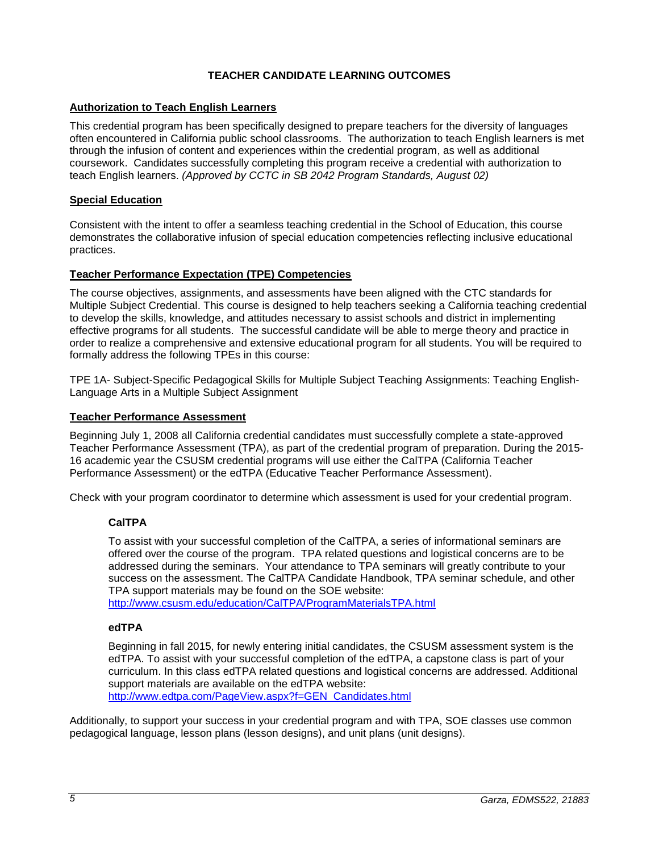# **TEACHER CANDIDATE LEARNING OUTCOMES**

### <span id="page-4-1"></span><span id="page-4-0"></span>**Authorization to Teach English Learners**

This credential program has been specifically designed to prepare teachers for the diversity of languages often encountered in California public school classrooms. The authorization to teach English learners is met through the infusion of content and experiences within the credential program, as well as additional coursework. Candidates successfully completing this program receive a credential with authorization to teach English learners. *(Approved by CCTC in SB 2042 Program Standards, August 02)*

### **Special Education**

Consistent with the intent to offer a seamless teaching credential in the School of Education, this course demonstrates the collaborative infusion of special education competencies reflecting inclusive educational practices.

### <span id="page-4-2"></span>**Teacher Performance Expectation (TPE) Competencies**

The course objectives, assignments, and assessments have been aligned with the CTC standards for Multiple Subject Credential. This course is designed to help teachers seeking a California teaching credential to develop the skills, knowledge, and attitudes necessary to assist schools and district in implementing effective programs for all students. The successful candidate will be able to merge theory and practice in order to realize a comprehensive and extensive educational program for all students. You will be required to formally address the following TPEs in this course:

TPE 1A- Subject-Specific Pedagogical Skills for Multiple Subject Teaching Assignments: Teaching English-Language Arts in a Multiple Subject Assignment

### <span id="page-4-3"></span>**Teacher Performance Assessment**

Beginning July 1, 2008 all California credential candidates must successfully complete a state-approved Teacher Performance Assessment (TPA), as part of the credential program of preparation. During the 2015- 16 academic year the CSUSM credential programs will use either the CalTPA (California Teacher Performance Assessment) or the edTPA (Educative Teacher Performance Assessment).

<span id="page-4-4"></span>Check with your program coordinator to determine which assessment is used for your credential program.

# **CalTPA**

To assist with your successful completion of the CalTPA, a series of informational seminars are offered over the course of the program. TPA related questions and logistical concerns are to be addressed during the seminars. Your attendance to TPA seminars will greatly contribute to your success on the assessment. The CalTPA Candidate Handbook, TPA seminar schedule, and other TPA support materials may be found on the SOE website:

<http://www.csusm.edu/education/CalTPA/ProgramMaterialsTPA.html>

#### <span id="page-4-5"></span>**edTPA**

Beginning in fall 2015, for newly entering initial candidates, the CSUSM assessment system is the edTPA. To assist with your successful completion of the edTPA, a capstone class is part of your curriculum. In this class edTPA related questions and logistical concerns are addressed. Additional support materials are available on the edTPA website: [http://www.edtpa.com/PageView.aspx?f=GEN\\_Candidates.html](http://www.edtpa.com/PageView.aspx?f=GEN_Candidates.html)

Additionally, to support your success in your credential program and with TPA, SOE classes use common pedagogical language, lesson plans (lesson designs), and unit plans (unit designs).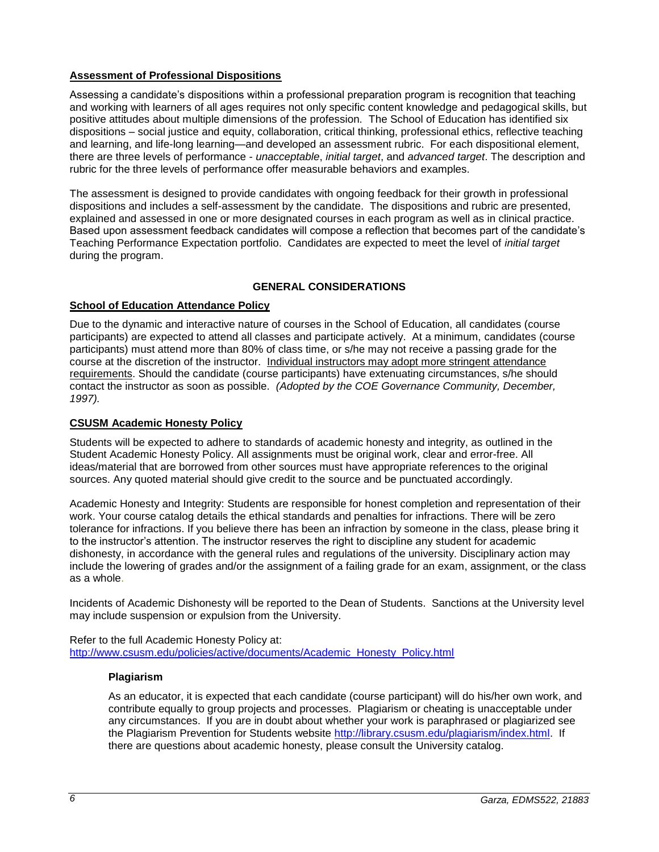# <span id="page-5-0"></span>**Assessment of Professional Dispositions**

Assessing a candidate's dispositions within a professional preparation program is recognition that teaching and working with learners of all ages requires not only specific content knowledge and pedagogical skills, but positive attitudes about multiple dimensions of the profession. The School of Education has identified six dispositions – social justice and equity, collaboration, critical thinking, professional ethics, reflective teaching and learning, and life-long learning—and developed an assessment rubric. For each dispositional element, there are three levels of performance - *unacceptable*, *initial target*, and *advanced target*. The description and rubric for the three levels of performance offer measurable behaviors and examples.

The assessment is designed to provide candidates with ongoing feedback for their growth in professional dispositions and includes a self-assessment by the candidate. The dispositions and rubric are presented, explained and assessed in one or more designated courses in each program as well as in clinical practice. Based upon assessment feedback candidates will compose a reflection that becomes part of the candidate's Teaching Performance Expectation portfolio. Candidates are expected to meet the level of *initial target* during the program.

# **GENERAL CONSIDERATIONS**

# <span id="page-5-2"></span><span id="page-5-1"></span>**School of Education Attendance Policy**

Due to the dynamic and interactive nature of courses in the School of Education, all candidates (course participants) are expected to attend all classes and participate actively. At a minimum, candidates (course participants) must attend more than 80% of class time, or s/he may not receive a passing grade for the course at the discretion of the instructor. Individual instructors may adopt more stringent attendance requirements. Should the candidate (course participants) have extenuating circumstances, s/he should contact the instructor as soon as possible. *(Adopted by the COE Governance Community, December, 1997).*

# <span id="page-5-3"></span>**CSUSM Academic Honesty Policy**

Students will be expected to adhere to standards of academic honesty and integrity, as outlined in the Student Academic Honesty Policy. All assignments must be original work, clear and error-free. All ideas/material that are borrowed from other sources must have appropriate references to the original sources. Any quoted material should give credit to the source and be punctuated accordingly.

Academic Honesty and Integrity: Students are responsible for honest completion and representation of their work. Your course catalog details the ethical standards and penalties for infractions. There will be zero tolerance for infractions. If you believe there has been an infraction by someone in the class, please bring it to the instructor's attention. The instructor reserves the right to discipline any student for academic dishonesty, in accordance with the general rules and regulations of the university. Disciplinary action may include the lowering of grades and/or the assignment of a failing grade for an exam, assignment, or the class as a whole.

Incidents of Academic Dishonesty will be reported to the Dean of Students. Sanctions at the University level may include suspension or expulsion from the University.

<span id="page-5-4"></span>Refer to the full Academic Honesty Policy at: [http://www.csusm.edu/policies/active/documents/Academic\\_Honesty\\_Policy.html](http://www.csusm.edu/policies/active/documents/Academic_Honesty_Policy.html)

#### **Plagiarism**

As an educator, it is expected that each candidate (course participant) will do his/her own work, and contribute equally to group projects and processes. Plagiarism or cheating is unacceptable under any circumstances. If you are in doubt about whether your work is paraphrased or plagiarized see the Plagiarism Prevention for Students website [http://library.csusm.edu/plagiarism/index.html.](http://library.csusm.edu/plagiarism/index.html) If there are questions about academic honesty, please consult the University catalog.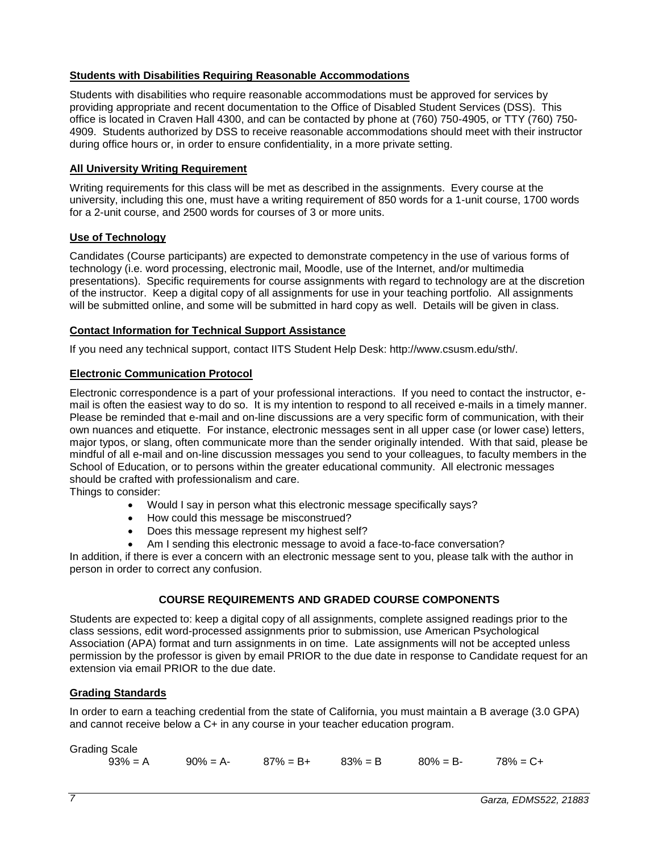# <span id="page-6-0"></span>**Students with Disabilities Requiring Reasonable Accommodations**

Students with disabilities who require reasonable accommodations must be approved for services by providing appropriate and recent documentation to the Office of Disabled Student Services (DSS). This office is located in Craven Hall 4300, and can be contacted by phone at (760) 750-4905, or TTY (760) 750- 4909. Students authorized by DSS to receive reasonable accommodations should meet with their instructor during office hours or, in order to ensure confidentiality, in a more private setting.

### <span id="page-6-1"></span>**All University Writing Requirement**

Writing requirements for this class will be met as described in the assignments. Every course at the university, including this one, must have a writing requirement of 850 words for a 1-unit course, 1700 words for a 2-unit course, and 2500 words for courses of 3 or more units.

### <span id="page-6-2"></span>**Use of Technology**

Candidates (Course participants) are expected to demonstrate competency in the use of various forms of technology (i.e. word processing, electronic mail, Moodle, use of the Internet, and/or multimedia presentations). Specific requirements for course assignments with regard to technology are at the discretion of the instructor. Keep a digital copy of all assignments for use in your teaching portfolio. All assignments will be submitted online, and some will be submitted in hard copy as well. Details will be given in class.

### <span id="page-6-3"></span>**Contact Information for Technical Support Assistance**

If you need any technical support, contact IITS Student Help Desk: http://www.csusm.edu/sth/.

#### <span id="page-6-4"></span>**Electronic Communication Protocol**

Electronic correspondence is a part of your professional interactions. If you need to contact the instructor, email is often the easiest way to do so. It is my intention to respond to all received e-mails in a timely manner. Please be reminded that e-mail and on-line discussions are a very specific form of communication, with their own nuances and etiquette. For instance, electronic messages sent in all upper case (or lower case) letters, major typos, or slang, often communicate more than the sender originally intended. With that said, please be mindful of all e-mail and on-line discussion messages you send to your colleagues, to faculty members in the School of Education, or to persons within the greater educational community. All electronic messages should be crafted with professionalism and care.

Things to consider:

- Would I say in person what this electronic message specifically says?
- How could this message be misconstrued?
- Does this message represent my highest self?
- Am I sending this electronic message to avoid a face-to-face conversation?

In addition, if there is ever a concern with an electronic message sent to you, please talk with the author in person in order to correct any confusion.

# **COURSE REQUIREMENTS AND GRADED COURSE COMPONENTS**

<span id="page-6-5"></span>Students are expected to: keep a digital copy of all assignments, complete assigned readings prior to the class sessions, edit word-processed assignments prior to submission, use American Psychological Association (APA) format and turn assignments in on time. Late assignments will not be accepted unless permission by the professor is given by email PRIOR to the due date in response to Candidate request for an extension via email PRIOR to the due date.

# <span id="page-6-6"></span>**Grading Standards**

In order to earn a teaching credential from the state of California, you must maintain a B average (3.0 GPA) and cannot receive below a C+ in any course in your teacher education program.

| <b>Grading Scale</b> |                                  |                         |  |
|----------------------|----------------------------------|-------------------------|--|
| $93\% = A$           | $90\% = A - 87\% = B + 83\% = B$ | $80\% = B - 78\% = C +$ |  |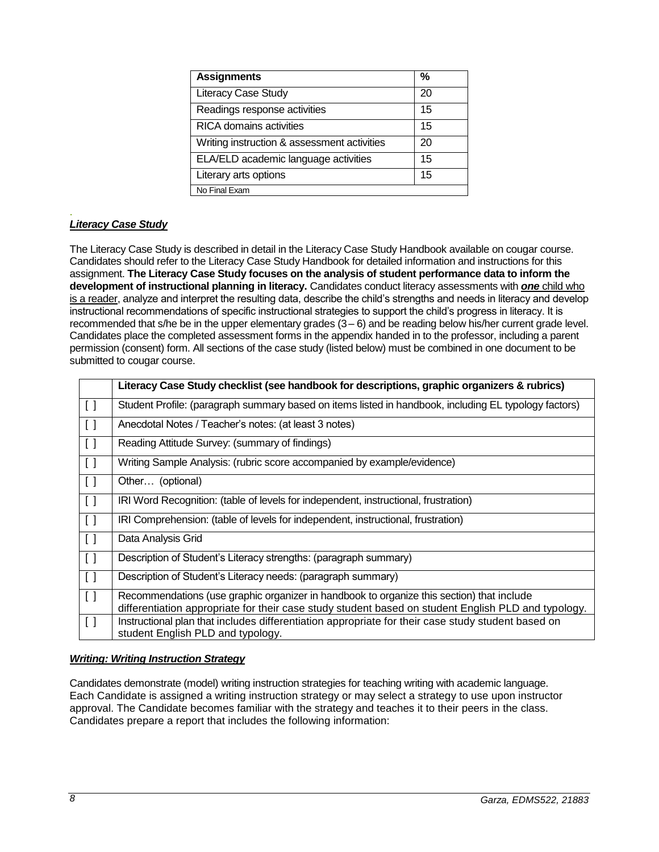| <b>Assignments</b>                          | %  |
|---------------------------------------------|----|
| <b>Literacy Case Study</b>                  | 20 |
| Readings response activities                | 15 |
| <b>RICA</b> domains activities              | 15 |
| Writing instruction & assessment activities | 20 |
| ELA/ELD academic language activities        | 15 |
| Literary arts options                       | 15 |
| No Final Exam                               |    |

#### . *Literacy Case Study*

The Literacy Case Study is described in detail in the Literacy Case Study Handbook available on cougar course. Candidates should refer to the Literacy Case Study Handbook for detailed information and instructions for this assignment. **The Literacy Case Study focuses on the analysis of student performance data to inform the development of instructional planning in literacy.** Candidates conduct literacy assessments with *one* child who is a reader, analyze and interpret the resulting data, describe the child's strengths and needs in literacy and develop instructional recommendations of specific instructional strategies to support the child's progress in literacy. It is recommended that s/he be in the upper elementary grades (3– 6) and be reading below his/her current grade level. Candidates place the completed assessment forms in the appendix handed in to the professor, including a parent permission (consent) form. All sections of the case study (listed below) must be combined in one document to be submitted to cougar course.

|                                   | Literacy Case Study checklist (see handbook for descriptions, graphic organizers & rubrics)                                                                                                      |
|-----------------------------------|--------------------------------------------------------------------------------------------------------------------------------------------------------------------------------------------------|
| $\Box$                            | Student Profile: (paragraph summary based on items listed in handbook, including EL typology factors)                                                                                            |
| $\begin{bmatrix} 1 \end{bmatrix}$ | Anecdotal Notes / Teacher's notes: (at least 3 notes)                                                                                                                                            |
| $\begin{bmatrix} 1 \end{bmatrix}$ | Reading Attitude Survey: (summary of findings)                                                                                                                                                   |
| $\Box$                            | Writing Sample Analysis: (rubric score accompanied by example/evidence)                                                                                                                          |
| $\begin{bmatrix} 1 \end{bmatrix}$ | Other (optional)                                                                                                                                                                                 |
| $\Box$                            | IRI Word Recognition: (table of levels for independent, instructional, frustration)                                                                                                              |
| $\Box$                            | IRI Comprehension: (table of levels for independent, instructional, frustration)                                                                                                                 |
| $\begin{bmatrix} 1 \end{bmatrix}$ | Data Analysis Grid                                                                                                                                                                               |
| $\begin{bmatrix} 1 \end{bmatrix}$ | Description of Student's Literacy strengths: (paragraph summary)                                                                                                                                 |
| $\Box$                            | Description of Student's Literacy needs: (paragraph summary)                                                                                                                                     |
| $\Box$                            | Recommendations (use graphic organizer in handbook to organize this section) that include<br>differentiation appropriate for their case study student based on student English PLD and typology. |
| $\Box$                            | Instructional plan that includes differentiation appropriate for their case study student based on<br>student English PLD and typology.                                                          |

# *Writing: Writing Instruction Strategy*

Candidates demonstrate (model) writing instruction strategies for teaching writing with academic language. Each Candidate is assigned a writing instruction strategy or may select a strategy to use upon instructor approval. The Candidate becomes familiar with the strategy and teaches it to their peers in the class. Candidates prepare a report that includes the following information: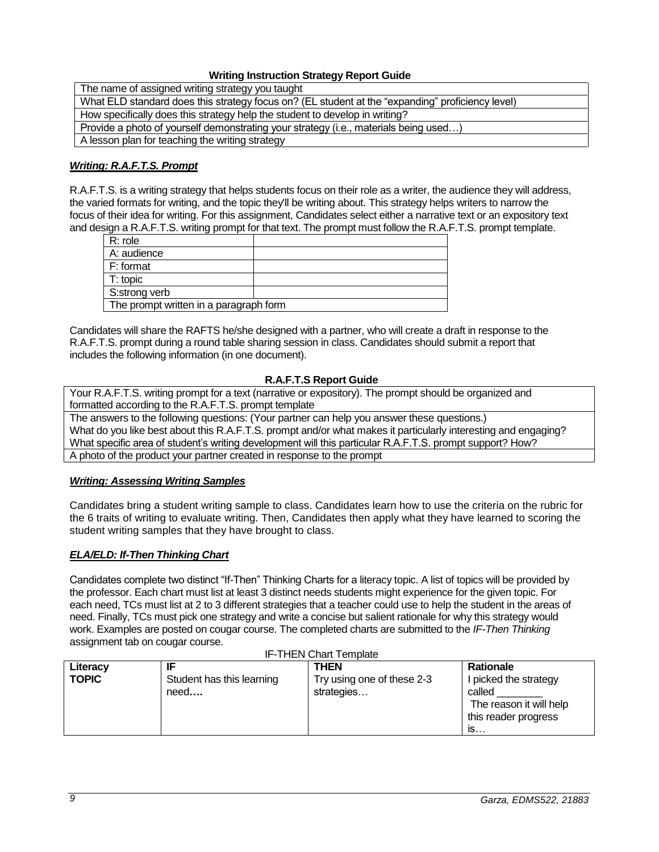### **Writing Instruction Strategy Report Guide**

The name of assigned writing strategy you taught What ELD standard does this strategy focus on? (EL student at the "expanding" proficiency level) How specifically does this strategy help the student to develop in writing? Provide a photo of yourself demonstrating your strategy (i.e., materials being used…) A lesson plan for teaching the writing strategy

# *Writing: R.A.F.T.S. Prompt*

R.A.F.T.S. is a writing strategy that helps students focus on their role as a writer, the audience they will address, the varied formats for writing, and the topic they'll be writing about. This strategy helps writers to narrow the focus of their idea for writing. For this assignment, Candidates select either a narrative text or an expository text and design a R.A.F.T.S. writing prompt for that text. The prompt must follow the R.A.F.T.S. prompt template.

| R: role                                |  |  |  |
|----------------------------------------|--|--|--|
| A: audience                            |  |  |  |
| F: format                              |  |  |  |
| T: topic                               |  |  |  |
| S:strong verb                          |  |  |  |
| The prompt written in a paragraph form |  |  |  |
|                                        |  |  |  |

Candidates will share the RAFTS he/she designed with a partner, who will create a draft in response to the R.A.F.T.S. prompt during a round table sharing session in class. Candidates should submit a report that includes the following information (in one document).

### **R.A.F.T.S Report Guide**

Your R.A.F.T.S. writing prompt for a text (narrative or expository). The prompt should be organized and formatted according to the R.A.F.T.S. prompt template

The answers to the following questions: (Your partner can help you answer these questions.) What do you like best about this R.A.F.T.S. prompt and/or what makes it particularly interesting and engaging? What specific area of student's writing development will this particular R.A.F.T.S. prompt support? How? A photo of the product your partner created in response to the prompt

# *Writing: Assessing Writing Samples*

Candidates bring a student writing sample to class. Candidates learn how to use the criteria on the rubric for the 6 traits of writing to evaluate writing. Then, Candidates then apply what they have learned to scoring the student writing samples that they have brought to class.

# *ELA/ELD: If-Then Thinking Chart*

Candidates complete two distinct "If-Then" Thinking Charts for a literacy topic. A list of topics will be provided by the professor. Each chart must list at least 3 distinct needs students might experience for the given topic. For each need, TCs must list at 2 to 3 different strategies that a teacher could use to help the student in the areas of need. Finally, TCs must pick one strategy and write a concise but salient rationale for why this strategy would work. Examples are posted on cougar course. The completed charts are submitted to the *IF-Then Thinking* assignment tab on cougar course.

| <b>IF-THEN Chart Template</b> |                                         |                                                  |                                                                                                              |  |
|-------------------------------|-----------------------------------------|--------------------------------------------------|--------------------------------------------------------------------------------------------------------------|--|
| Literacy<br><b>TOPIC</b>      | IF<br>Student has this learning<br>need | THEN<br>Try using one of these 2-3<br>strategies | <b>Rationale</b><br>I picked the strategy<br>called<br>The reason it will help<br>this reader progress<br>IS |  |

IF-THEN Chart Template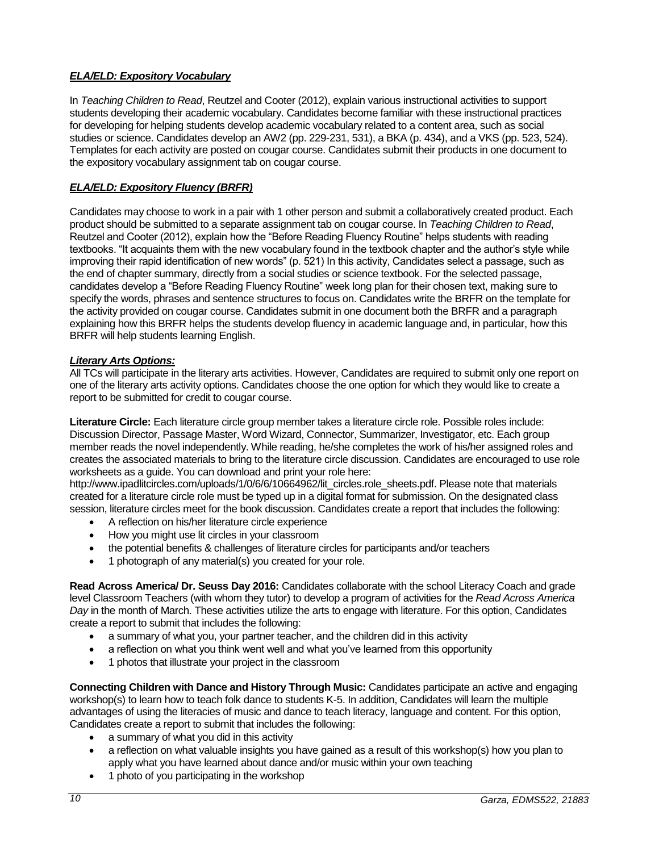# *ELA/ELD: Expository Vocabulary*

In *Teaching Children to Read*, Reutzel and Cooter (2012), explain various instructional activities to support students developing their academic vocabulary. Candidates become familiar with these instructional practices for developing for helping students develop academic vocabulary related to a content area, such as social studies or science. Candidates develop an AW2 (pp. 229-231, 531), a BKA (p. 434), and a VKS (pp. 523, 524). Templates for each activity are posted on cougar course. Candidates submit their products in one document to the expository vocabulary assignment tab on cougar course.

### *ELA/ELD: Expository Fluency (BRFR)*

Candidates may choose to work in a pair with 1 other person and submit a collaboratively created product. Each product should be submitted to a separate assignment tab on cougar course. In *Teaching Children to Read*, Reutzel and Cooter (2012), explain how the "Before Reading Fluency Routine" helps students with reading textbooks. "It acquaints them with the new vocabulary found in the textbook chapter and the author's style while improving their rapid identification of new words" (p. 521) In this activity, Candidates select a passage, such as the end of chapter summary, directly from a social studies or science textbook. For the selected passage, candidates develop a "Before Reading Fluency Routine" week long plan for their chosen text, making sure to specify the words, phrases and sentence structures to focus on. Candidates write the BRFR on the template for the activity provided on cougar course. Candidates submit in one document both the BRFR and a paragraph explaining how this BRFR helps the students develop fluency in academic language and, in particular, how this BRFR will help students learning English.

#### *Literary Arts Options:*

All TCs will participate in the literary arts activities. However, Candidates are required to submit only one report on one of the literary arts activity options. Candidates choose the one option for which they would like to create a report to be submitted for credit to cougar course.

**Literature Circle:** Each literature circle group member takes a literature circle role. Possible roles include: Discussion Director, Passage Master, Word Wizard, Connector, Summarizer, Investigator, etc. Each group member reads the novel independently. While reading, he/she completes the work of his/her assigned roles and creates the associated materials to bring to the literature circle discussion. Candidates are encouraged to use role worksheets as a guide. You can download and print your role here:

http://www.ipadlitcircles.com/uploads/1/0/6/6/10664962/lit\_circles.role\_sheets.pdf. Please note that materials created for a literature circle role must be typed up in a digital format for submission. On the designated class session, literature circles meet for the book discussion. Candidates create a report that includes the following:

- A reflection on his/her literature circle experience
- How you might use lit circles in your classroom
- the potential benefits & challenges of literature circles for participants and/or teachers
- 1 photograph of any material(s) you created for your role.

**Read Across America/ Dr. Seuss Day 2016:** Candidates collaborate with the school Literacy Coach and grade level Classroom Teachers (with whom they tutor) to develop a program of activities for the *Read Across America Day* in the month of March. These activities utilize the arts to engage with literature. For this option, Candidates create a report to submit that includes the following:

- a summary of what you, your partner teacher, and the children did in this activity
- a reflection on what you think went well and what you've learned from this opportunity
- 1 photos that illustrate your project in the classroom

**Connecting Children with Dance and History Through Music:** Candidates participate an active and engaging workshop(s) to learn how to teach folk dance to students K-5. In addition, Candidates will learn the multiple advantages of using the literacies of music and dance to teach literacy, language and content. For this option, Candidates create a report to submit that includes the following:

- a summary of what you did in this activity
- a reflection on what valuable insights you have gained as a result of this workshop(s) how you plan to apply what you have learned about dance and/or music within your own teaching
- 1 photo of you participating in the workshop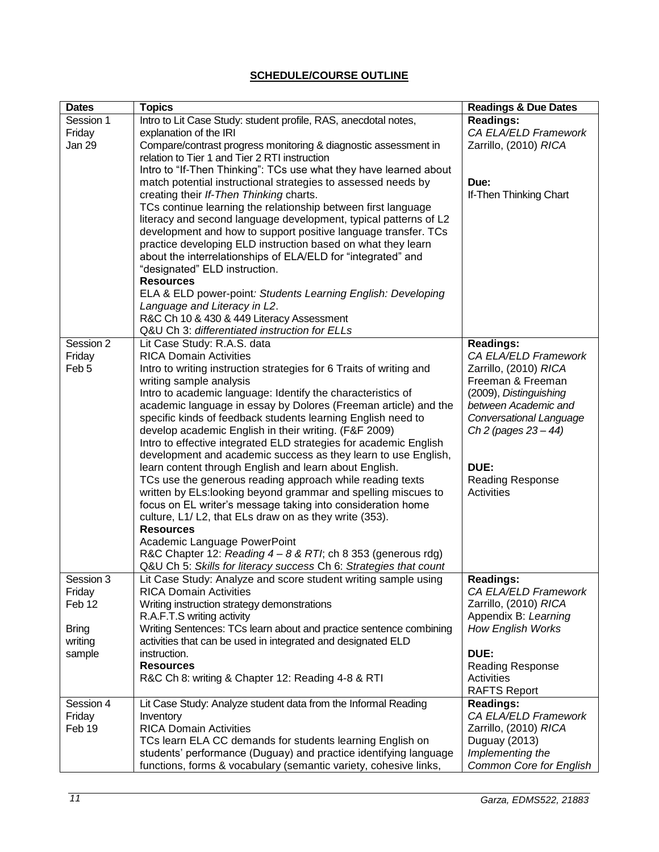# **SCHEDULE/COURSE OUTLINE**

<span id="page-10-0"></span>

| <b>Dates</b>     | <b>Topics</b>                                                             | <b>Readings &amp; Due Dates</b>               |
|------------------|---------------------------------------------------------------------------|-----------------------------------------------|
| Session 1        | Intro to Lit Case Study: student profile, RAS, anecdotal notes,           | Readings:                                     |
| Friday           | explanation of the IRI                                                    | CA ELA/ELD Framework                          |
| Jan 29           | Compare/contrast progress monitoring & diagnostic assessment in           | Zarrillo, (2010) RICA                         |
|                  | relation to Tier 1 and Tier 2 RTI instruction                             |                                               |
|                  | Intro to "If-Then Thinking": TCs use what they have learned about         |                                               |
|                  | match potential instructional strategies to assessed needs by             | Due:                                          |
|                  | creating their If-Then Thinking charts.                                   | If-Then Thinking Chart                        |
|                  | TCs continue learning the relationship between first language             |                                               |
|                  | literacy and second language development, typical patterns of L2          |                                               |
|                  | development and how to support positive language transfer. TCs            |                                               |
|                  | practice developing ELD instruction based on what they learn              |                                               |
|                  | about the interrelationships of ELA/ELD for "integrated" and              |                                               |
|                  | "designated" ELD instruction.<br><b>Resources</b>                         |                                               |
|                  | ELA & ELD power-point: Students Learning English: Developing              |                                               |
|                  | Language and Literacy in L2.                                              |                                               |
|                  | R&C Ch 10 & 430 & 449 Literacy Assessment                                 |                                               |
|                  | Q&U Ch 3: differentiated instruction for ELLs                             |                                               |
| Session 2        | Lit Case Study: R.A.S. data                                               | <b>Readings:</b>                              |
| Friday           | <b>RICA Domain Activities</b>                                             | CA ELA/ELD Framework                          |
| Feb <sub>5</sub> | Intro to writing instruction strategies for 6 Traits of writing and       | Zarrillo, (2010) RICA                         |
|                  | writing sample analysis                                                   | Freeman & Freeman                             |
|                  | Intro to academic language: Identify the characteristics of               | (2009), Distinguishing                        |
|                  | academic language in essay by Dolores (Freeman article) and the           | between Academic and                          |
|                  | specific kinds of feedback students learning English need to              | Conversational Language                       |
|                  | develop academic English in their writing. (F&F 2009)                     | Ch 2 (pages $23 - 44$ )                       |
|                  | Intro to effective integrated ELD strategies for academic English         |                                               |
|                  | development and academic success as they learn to use English,            |                                               |
|                  | learn content through English and learn about English.                    | DUE:                                          |
|                  | TCs use the generous reading approach while reading texts                 | <b>Reading Response</b>                       |
|                  | written by ELs:looking beyond grammar and spelling miscues to             | Activities                                    |
|                  | focus on EL writer's message taking into consideration home               |                                               |
|                  | culture, L1/ L2, that ELs draw on as they write (353).                    |                                               |
|                  | <b>Resources</b>                                                          |                                               |
|                  | Academic Language PowerPoint                                              |                                               |
|                  | R&C Chapter 12: Reading 4 - 8 & RTI; ch 8 353 (generous rdg)              |                                               |
|                  | Q&U Ch 5: Skills for literacy success Ch 6: Strategies that count         |                                               |
| Session 3        | Lit Case Study: Analyze and score student writing sample using            | <b>Readings:</b>                              |
| Friday<br>Feb 12 | <b>RICA Domain Activities</b>                                             | CA ELA/ELD Framework                          |
|                  | Writing instruction strategy demonstrations<br>R.A.F.T.S writing activity | Zarrillo, (2010) RICA<br>Appendix B: Learning |
| <b>Bring</b>     | Writing Sentences: TCs learn about and practice sentence combining        | How English Works                             |
| writing          | activities that can be used in integrated and designated ELD              |                                               |
| sample           | instruction.                                                              | DUE:                                          |
|                  | <b>Resources</b>                                                          | <b>Reading Response</b>                       |
|                  | R&C Ch 8: writing & Chapter 12: Reading 4-8 & RTI                         | Activities                                    |
|                  |                                                                           | <b>RAFTS Report</b>                           |
| Session 4        | Lit Case Study: Analyze student data from the Informal Reading            | <b>Readings:</b>                              |
| Friday           | Inventory                                                                 | CA ELA/ELD Framework                          |
| Feb 19           | <b>RICA Domain Activities</b>                                             | Zarrillo, (2010) RICA                         |
|                  | TCs learn ELA CC demands for students learning English on                 | Duguay (2013)                                 |
|                  | students' performance (Duguay) and practice identifying language          | Implementing the                              |
|                  | functions, forms & vocabulary (semantic variety, cohesive links,          | <b>Common Core for English</b>                |